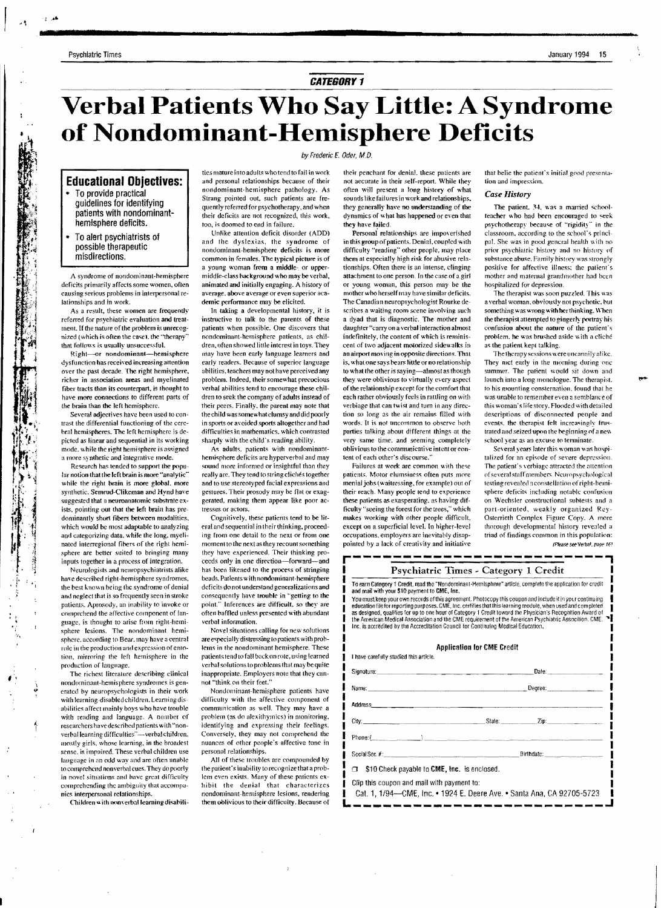## **CATEGORY 1**

# Verbal Patients Who Say Little: A Syndrome of Nondominant-Hemisphere Deficits

#### by Frederic E. Oder, M.D.

## **Educational Obiectives:**

- To provide practical auidelines for identifying patients with nondominanthemisphere deficits.
- To alert psychiatrists of possible therapeutic misdirections.

A syndrome of nondominant-hemisphere deficits primarily affects some women, often causing serious problems in interpersonal relationships and in work.

As a result, these women are frequently referred for psychiatric evaluation and treatment. If the nature of the problem is unrecognized (which is often the case), the "therapy that follows is usually unsuccessful.

Right-or nondominant-hemisphere dysfunction has received increasing attention over the past decade. The right hemisphere, richer in association areas and myelinated fiber tracts than its counterpart, is thought to have more connections to different parts of the brain than the left hemisphere.

Several adjectives have been used to contrast the differential functioning of the cerebral hemispheres. The left hemisphere is depicted as linear and sequential in its working mode, while the right hemisphere is assigned a more synthetic and integrative mode.

Research has tended to support the popu lar notion that the left brain is more "analytic' while the right brain is more global, more synthetic. Semrud-Clikeman and Hynd have suggested that a neuroanatomic substrate exists, pointing out that the left brain has predominantly short fibers between modalities. which would be most adaptable to analyzing and categorizing data, while the long, myelinated interregional fibers of the right hemisphere are better suited to bringing many inputs together in a process of integration.

Neurologists and neuropsychiatrists alike have described right-hemisphere syndromes the best known being the syndrome of denial and neglect that is so frequently seen in stroke patients. Aprosody, an inability to invoke or comprehend the affective component of fanguage, is thought to arise from right-hemisphere lesions. The nondominant hemisphere, according to Bear, may have a central role in the production and expression of emotion, mirroring the left hemisphere in the production of language.

The richest literature describing clinical nondominant-hemisphere syndromes is generated by neuropsychologists in their work with learning-disabled children. Learning disabilities affect mainly boys who have trouble with reading and language. A nomber of researchers have described patients with "nonverbal learning difficulties"-verbal children, mostly girls, whose learning, in the broadest sense, is impaired. These verbal children use language in an odd way and are often unable to comprehend nonverbal cues. They do poorly in novel situations and have great difficulty comprehending the ambiguity that accompanics interpersonal relationships.

Children with nonverbal learning disabili-

ties mature into adults who tend to fail in work and personal relationships because of their nondominant-hemisphere pathology. As Strang pointed out, such patients are frequently referred for psychotherapy, and when their deficits are not recognized, this work. too, is doomed to end in failure.

Unlike attention deficit disorder (ADD) and the dyslexias, the syndrome of nondominant-hemisphere deficits is more common in females. The typical picture is of a young woman from a middle- or uppermiddle-class background who may be verbal, animated and initially engaging. A history of average, above average or even superior academic performance may be elicited.

In taking a developmental history, it is instructive to talk to the parents of these patients when possible. One discovers that nondominant-hemisphere patients, as children, often showed little interest in toys. They may have been early language learners and early readers. Because of superior language abilities, teachers may not have perceived any problem. Indeed, their somewhat precocious verbal abilities tend to encourage these children to seek the company of adults instead of their peers. Finally, the parent may note that the child was somewhat chimsy and did poorly in sports or avoided sports altogether and had difficulties in mathematics, which contrasted sharply with the child's reading ability. As adults, patients with nondominant-

hemisphere deficits are hyperverbal and may sound more informed or insightful than they really are. They tend to string clichés together and to use stereotyped facial expressions and gestures. Their prosody may be flat or exaggerated, making them appear like poor actresses or actors

Cognitively, these patients tend to be literal and sequential in their thinking, proceeding from one detail to the next or from one moment to the next as they recount something they have experienced. Their thinking proceeds only in one direction-forward-and has been likened to the process of stringing beads. Patients with nondominant-hemisphere deficits do not understand generalizations and consequently have trouble in "getting to the point." Inferences are difficult, so they are often baffled unless presented with abundant verbal information.

Novel situations calling for new solutions are especially distressing to patients with problems in the nondominant hemisphere. These patients tend to fall back on rote, using learned verbal solutions to problems that may be quite inappropriate. Employers note that they cannot "think on their feet."

Nondominant-hemisphere patients have difficulty with the affective component of communication as well. They may have a problem (as do alexithymics) in monitoring. identifying and expressing their feelings. Conversely, they may not comprehend the nuances of other people's affective tone in personal relationships.

All of these troubles are compounded by the patient's inability to recognize that a problem even exists. Many of these patients exhibit the denial that characterizes nondoninant-hemisphere lesions, rendering them oblivious to their difficulty. Because of

their penchant for denial, these patients are not aecurate in their self-report. While they often will present a long history of what sounds like failures in work and relationships. they generally have no understanding of the dynamics of what has happened or even that they have failed.

Personal relationships are impoverished in this group of patients. Denial, counled with difficulty "reading" other people, may place them at especially high risk for abusive relationships. Often there is an intense, clinging attachment to one person. In the case of a girl or young woman, this person may be the mother who herself may have similar deficits. The Canadian neuropsychologist Rourke describes a waiting room scene involving such a dyad that is diagnostic. The mother and daughter "carry on a verbal interaction almost indefinitely, the content of which is reminiscent of two adjacent motorized sidewalks in an airport moving in opposite directions. That is, what one says bears little or no relationship to what the other is saying-almost as though they were oblivious to virtually every aspect of the relationship except for the comfort that each rather obviously feels in rattling on with verbiage that can twist and turn in any direction so long as the air remains filled with words. It is not uncommon to observe both parties talking about different things at the very same time, and seeming completely oblivious to the communicative intent or eontent of each other's discourse.

Failures at work are common with these patients. Motor elumsiness often puts more menial jobs (waitressing, for example) out of their reach. Many people tend to experience these patients as exasperating, as having difficulty "seeing the forest for the trees," which makes working with other people difficult, except on a superficial level. In higher-level occupations, employers are inevitably disappointed by a lack of creativity and initiative

I have carefully studied this article

that belie the patient's initial good presentation and impression.

#### Case History

The patient, 34, was a married schoolteacher who had been encouraged to seek psychotherapy because of "rigidity" in the classroom, according to the school's principal. She was in good general health with no prior psychiatric history and no history of substance abuse. Family history was strongly positive for affective illness; the patient's mother and maternal grandmother had been hospitalized for depression.

.<br>The therapist was soon puzzled. This was a verbal woman, obviously not psychotic, but something was wrong with her thinking. When the therapist attempted to gingerly portray his confusion about the nature of the patient's problem, he was brushed aside with a cliché as the patient kept talking.

The therapy sessions were uncannily alike. They met early in the morning during one summer. The patient would sit down and launch into a long monologue. The therapist. to his mounting consternation, found that he was unable to remember even a semblance of this woman's life story. Flooded with detailed descriptions of disconnected people and events, the therapist felt increasingly frustrated and seized upon the beginning of a new school year as an excuse to terminate

Several years later this woman was hospitalized for an episode of severe depression. The patient's verbiage attracted the attention of several staff members. Neuropsychological testing revealed a constellation of right-hemisphere deficits including notable confusion on Wechsler constructional subtests and a part-oriented, weakly organized Rey-Osterrieth Complex Figure Copy. A more thorough developmental history revealed a triad of findings common in this population: (Please see Verbal, page 16)

#### Psychiatric Times - Category 1 Credit

To earn Category 1 Credit, read the "Nondominant-Hemisphere" article, complete the application for credit and mail with your \$10 payment to CME, Inc.

Fournust keep your own records of this agreement. Photocopy this coupon and include it in your continuing<br>education file for reporting purposes. CME, Inc. certifies that this learning module, when used and completed<br>as des Inc. is accredited by the Accreditation Council for Continuing Medical Education

#### **Application for CME Credit**

|                                                                                                                      | Name: Degree: Degree: 2004. [20] Degree: 2004. [20] Degree: 2004. [20] Degree: 2004. [20] Degree: 2004. [20] Degree: 2004. [20] Degree: 2004. [20] Degree: 2004. [20] Degree: 2004. [20] Degree: 2004. [20] Degree: 2004. [20] |
|----------------------------------------------------------------------------------------------------------------------|--------------------------------------------------------------------------------------------------------------------------------------------------------------------------------------------------------------------------------|
|                                                                                                                      |                                                                                                                                                                                                                                |
|                                                                                                                      |                                                                                                                                                                                                                                |
|                                                                                                                      |                                                                                                                                                                                                                                |
|                                                                                                                      |                                                                                                                                                                                                                                |
| $\Box$ \$10 Check payable to CME, Inc. is enclosed.                                                                  |                                                                                                                                                                                                                                |
| Clip this coupon and mail with payment to:<br>Cat. 1, 1/94—CME, Inc. • 1924 E. Deere Ave. • Santa Ana, CA 92705-5723 |                                                                                                                                                                                                                                |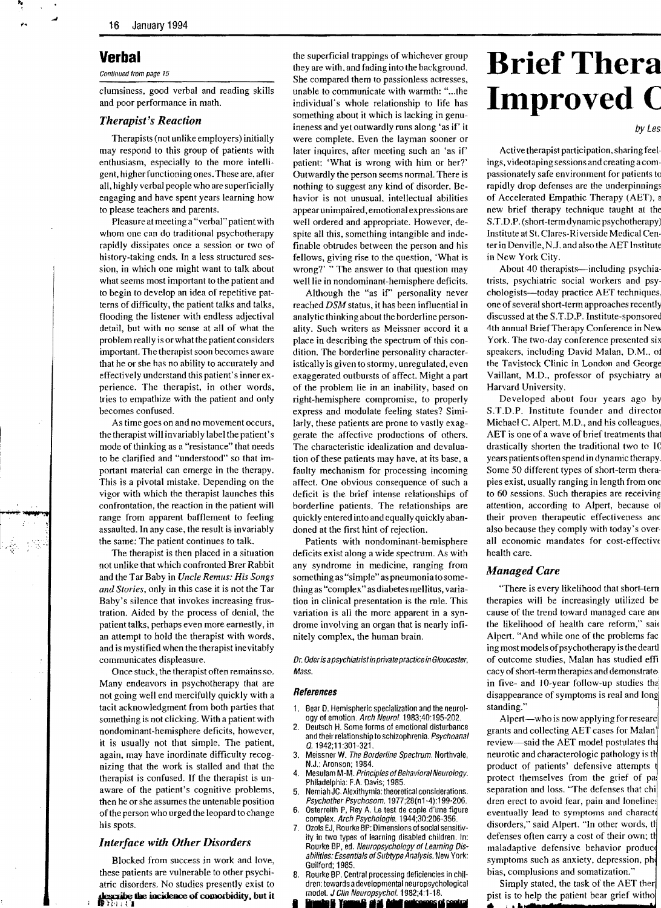# **Verbal**

Continued from page 15

clumsiness, good verbal and reading skills and poor performance in math.

### *Therapist's Reaction*

Therapists (not unlike employers) initially may respond to this group of patients with enthusiasm, especially to the more intelligent, higher functioning ones. These are, after all, highly verbal people who are superficially engaging and have spent years learning how to please teachers and parents.

Pleasure at meeting a "verbal" patient with whom one can do traditional psychotherapy rapidly dissipates once a session or two of history-taking ends. In a less structured session, in which one might want to talk about what seems most important to the patient and to begin to develop an idea of repetitive patterns of difficulty, the patient talks and talks, flooding the listener with endless adjectival detail, but with no sense at all of what the problem really is or what the patient considers important. The therapist soon becomes aware that he or she has no ability to accurately and effectively understand this patient's inner experience. The therapist, in other words, tries to empathize with the patient and only becomes confused.

As time goes on and no movement occurs, the therapist will invariably label the patient's mode of thinking as a "resistance" that needs to be clarified and "understood" so that important material can emerge in the therapy. This is a pivotal mistake. Depending on the vigor with which the therapist launches this confrontation, the reaction in the patient will range from apparent bafflement to feeling assaulted. In any case, the result is invariably the same; The patient continues to talk.

The therapist is then placed in a situation not unlike that which confronted Brer Rabbit and the Tar Baby in *Uncle Remus: His Songs and Stories,* only in this case it is not the Tar Baby's silence that invokes increasing frustration. Aided by the process of denial, the patient talks, perhaps even more earnestly, in an attempt to hold the therapist with words, and is mystified when the therapist inevitably communicates displeasure.

Once stuck, the therapist often remains so. Many endeavors in psychotherapy that are not going well end mercifully quickly with a tacit acknowledgment from both parties that something is not clicking. With a patient with nondominant-hemisphere deficits, however, it is usually not that simple. The patient, again, may have inordinate difficulty recognizing that the work is stalled and that the therapist is confused. If the therapist is unaware of the patient's cognitive problems, then he or she assumes the untenable position ofthe person who urged the leopard to change his spots.